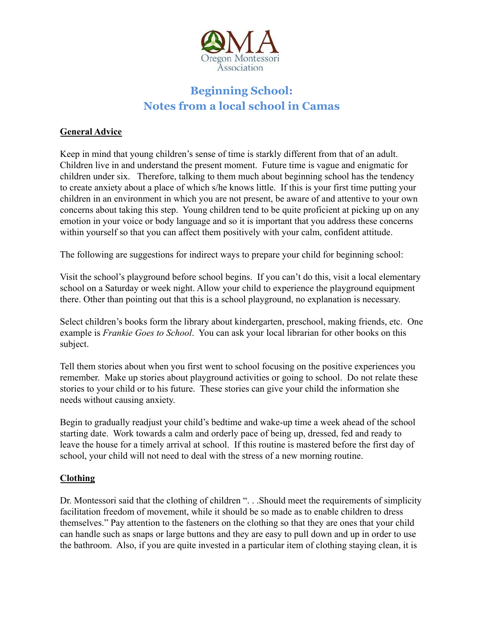

# **Beginning School: Notes from a local school in Camas**

## **General Advice**

Keep in mind that young children's sense of time is starkly different from that of an adult. Children live in and understand the present moment. Future time is vague and enigmatic for children under six. Therefore, talking to them much about beginning school has the tendency to create anxiety about a place of which s/he knows little. If this is your first time putting your children in an environment in which you are not present, be aware of and attentive to your own concerns about taking this step. Young children tend to be quite proficient at picking up on any emotion in your voice or body language and so it is important that you address these concerns within yourself so that you can affect them positively with your calm, confident attitude.

The following are suggestions for indirect ways to prepare your child for beginning school:

Visit the school's playground before school begins. If you can't do this, visit a local elementary school on a Saturday or week night. Allow your child to experience the playground equipment there. Other than pointing out that this is a school playground, no explanation is necessary.

Select children's books form the library about kindergarten, preschool, making friends, etc. One example is *Frankie Goes to School*. You can ask your local librarian for other books on this subject.

Tell them stories about when you first went to school focusing on the positive experiences you remember. Make up stories about playground activities or going to school. Do not relate these stories to your child or to his future. These stories can give your child the information she needs without causing anxiety.

Begin to gradually readjust your child's bedtime and wake-up time a week ahead of the school starting date. Work towards a calm and orderly pace of being up, dressed, fed and ready to leave the house for a timely arrival at school. If this routine is mastered before the first day of school, your child will not need to deal with the stress of a new morning routine.

### **Clothing**

Dr. Montessori said that the clothing of children ". . . Should meet the requirements of simplicity facilitation freedom of movement, while it should be so made as to enable children to dress themselves." Pay attention to the fasteners on the clothing so that they are ones that your child can handle such as snaps or large buttons and they are easy to pull down and up in order to use the bathroom. Also, if you are quite invested in a particular item of clothing staying clean, it is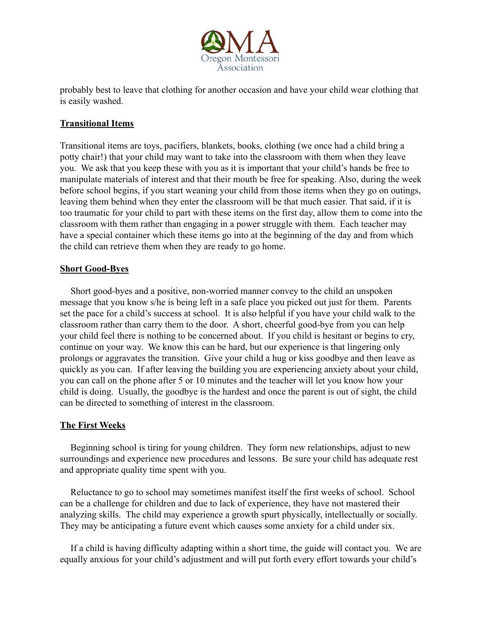

probably best to leave that clothing for another occasion and have your child wear clothing that is easily washed.

## **Transitional Items**

Transitional items are toys, pacifiers, blankets, books, clothing (we once had a child bring a potty chair!) that your child may want to take into the classroom with them when they leave you. We ask that you keep these with you as it is important that your child's hands be free to manipulate materials of interest and that their mouth be free for speaking. Also, during the week before school begins, if you start weaning your child from those items when they go on outings, leaving them behind when they enter the classroom will be that much easier. That said, if it is too traumatic for your child to part with these items on the first day, allow them to come into the classroom with them rather than engaging in a power struggle with them. Each teacher may have a special container which these items go into at the beginning of the day and from which the child can retrieve them when they are ready to go home.

### **Short Good-Byes**

Short good-byes and a positive, non-worried manner convey to the child an unspoken message that you know s/he is being left in a safe place you picked out just for them. Parents set the pace for a child's success at school. It is also helpful if you have your child walk to the classroom rather than carry them to the door. A short, cheerful good-bye from you can help your child feel there is nothing to be concerned about. If you child is hesitant or begins to cry, continue on your way. We know this can be hard, but our experience is that lingering only prolongs or aggravates the transition. Give your child a hug or kiss goodbye and then leave as quickly as you can. If after leaving the building you are experiencing anxiety about your child, you can call on the phone after 5 or 10 minutes and the teacher will let you know how your child is doing. Usually, the goodbye is the hardest and once the parent is out of sight, the child can be directed to something of interest in the classroom.

# **The First Weeks**

Beginning school is tiring for young children. They form new relationships, adjust to new surroundings and experience new procedures and lessons. Be sure your child has adequate rest and appropriate quality time spent with you.

Reluctance to go to school may sometimes manifest itself the first weeks of school. School can be a challenge for children and due to lack of experience, they have not mastered their analyzing skills. The child may experience a growth spurt physically, intellectually or socially. They may be anticipating a future event which causes some anxiety for a child under six.

If a child is having difficulty adapting within a short time, the guide will contact you. We are equally anxious for your child's adjustment and will put forth every effort towards your child's